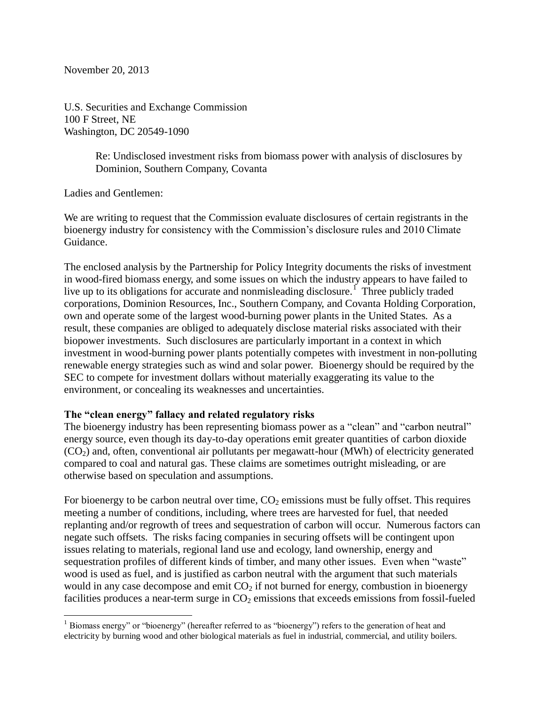November 20, 2013

U.S. Securities and Exchange Commission 100 F Street, NE Washington, DC 20549-1090

> Re: Undisclosed investment risks from biomass power with analysis of disclosures by Dominion, Southern Company, Covanta

Ladies and Gentlemen:

 $\overline{a}$ 

We are writing to request that the Commission evaluate disclosures of certain registrants in the bioenergy industry for consistency with the Commission's disclosure rules and 2010 Climate Guidance.

The enclosed analysis by the Partnership for Policy Integrity documents the risks of investment in wood-fired biomass energy, and some issues on which the industry appears to have failed to live up to its obligations for accurate and nonmisleading disclosure.<sup>1</sup> Three publicly traded corporations, Dominion Resources, Inc., Southern Company, and Covanta Holding Corporation, own and operate some of the largest wood-burning power plants in the United States. As a result, these companies are obliged to adequately disclose material risks associated with their biopower investments. Such disclosures are particularly important in a context in which investment in wood-burning power plants potentially competes with investment in non-polluting renewable energy strategies such as wind and solar power.Bioenergy should be required by the SEC to compete for investment dollars without materially exaggerating its value to the environment, or concealing its weaknesses and uncertainties.

## **The "clean energy" fallacy and related regulatory risks**

The bioenergy industry has been representing biomass power as a "clean" and "carbon neutral" energy source, even though its day-to-day operations emit greater quantities of carbon dioxide  $(CO<sub>2</sub>)$  and, often, conventional air pollutants per megawatt-hour (MWh) of electricity generated compared to coal and natural gas. These claims are sometimes outright misleading, or are otherwise based on speculation and assumptions.

For bioenergy to be carbon neutral over time,  $CO<sub>2</sub>$  emissions must be fully offset. This requires meeting a number of conditions, including, where trees are harvested for fuel, that needed replanting and/or regrowth of trees and sequestration of carbon will occur. Numerous factors can negate such offsets. The risks facing companies in securing offsets will be contingent upon issues relating to materials, regional land use and ecology, land ownership, energy and sequestration profiles of different kinds of timber, and many other issues. Even when "waste" wood is used as fuel, and is justified as carbon neutral with the argument that such materials would in any case decompose and emit  $CO<sub>2</sub>$  if not burned for energy, combustion in bioenergy facilities produces a near-term surge in  $CO<sub>2</sub>$  emissions that exceeds emissions from fossil-fueled

 $1$  Biomass energy" or "bioenergy" (hereafter referred to as "bioenergy") refers to the generation of heat and electricity by burning wood and other biological materials as fuel in industrial, commercial, and utility boilers.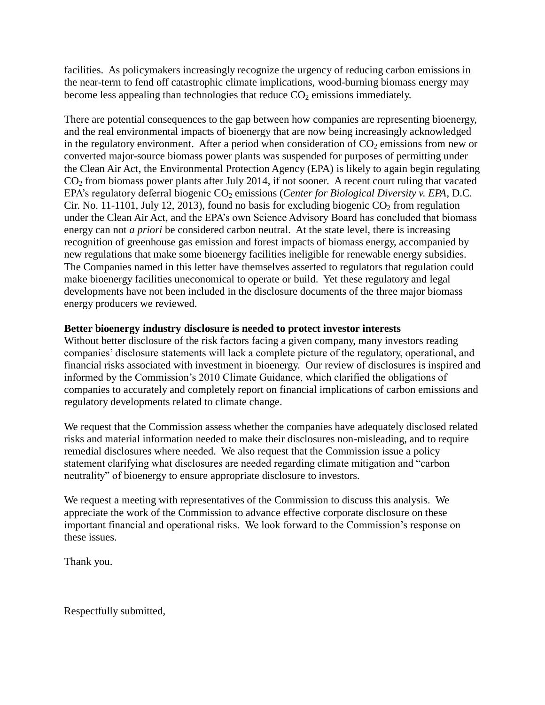facilities. As policymakers increasingly recognize the urgency of reducing carbon emissions in the near-term to fend off catastrophic climate implications, wood-burning biomass energy may become less appealing than technologies that reduce  $CO<sub>2</sub>$  emissions immediately.

There are potential consequences to the gap between how companies are representing bioenergy, and the real environmental impacts of bioenergy that are now being increasingly acknowledged in the regulatory environment. After a period when consideration of  $CO<sub>2</sub>$  emissions from new or converted major-source biomass power plants was suspended for purposes of permitting under the Clean Air Act, the Environmental Protection Agency (EPA) is likely to again begin regulating CO<sup>2</sup> from biomass power plants after July 2014, if not sooner. A recent court ruling that vacated EPA's regulatory deferral biogenic CO<sub>2</sub> emissions (*Center for Biological Diversity v. EPA*, D.C. Cir. No. 11-1101, July 12, 2013), found no basis for excluding biogenic  $CO_2$  from regulation under the Clean Air Act, and the EPA's own Science Advisory Board has concluded that biomass energy can not *a priori* be considered carbon neutral. At the state level, there is increasing recognition of greenhouse gas emission and forest impacts of biomass energy, accompanied by new regulations that make some bioenergy facilities ineligible for renewable energy subsidies. The Companies named in this letter have themselves asserted to regulators that regulation could make bioenergy facilities uneconomical to operate or build. Yet these regulatory and legal developments have not been included in the disclosure documents of the three major biomass energy producers we reviewed.

## **Better bioenergy industry disclosure is needed to protect investor interests**

Without better disclosure of the risk factors facing a given company, many investors reading companies' disclosure statements will lack a complete picture of the regulatory, operational, and financial risks associated with investment in bioenergy. Our review of disclosures is inspired and informed by the Commission's 2010 Climate Guidance, which clarified the obligations of companies to accurately and completely report on financial implications of carbon emissions and regulatory developments related to climate change.

We request that the Commission assess whether the companies have adequately disclosed related risks and material information needed to make their disclosures non-misleading, and to require remedial disclosures where needed. We also request that the Commission issue a policy statement clarifying what disclosures are needed regarding climate mitigation and "carbon neutrality" of bioenergy to ensure appropriate disclosure to investors.

We request a meeting with representatives of the Commission to discuss this analysis. We appreciate the work of the Commission to advance effective corporate disclosure on these important financial and operational risks. We look forward to the Commission's response on these issues.

Thank you.

Respectfully submitted,